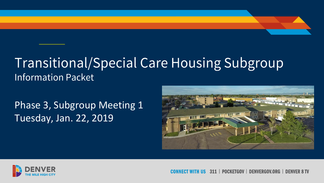### **Transitional/Special Care Housing Subgroup Information Packet**

Phase 3, Subgroup Meeting 1 Tuesday, Jan. 22, 2019





**POCKFTGOV** DENVERGOV.ORG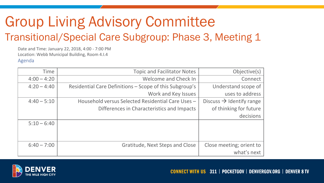### Group Living Advisory Committee Transitional/Special Care Subgroup: Phase 3, Meeting 1

Date and Time: January 22, 2018, 4:00 - 7:00 PM Location: Webb Municipal Building, Room 4.I.4 Agenda

| Objective(s)                         | <b>Topic and Facilitator Notes</b>                      | <b>Time</b>   |
|--------------------------------------|---------------------------------------------------------|---------------|
| Connect                              | Welcome and Check In                                    | $4:00 - 4:20$ |
| Understand scope of                  | Residential Care Definitions - Scope of this Subgroup's | $4:20 - 4:40$ |
| uses to address                      | Work and Key Issues                                     |               |
| Discuss $\rightarrow$ Identify range | Household versus Selected Residential Care Uses -       | $4:40 - 5:10$ |
| of thinking for future               | Differences in Characteristics and Impacts              |               |
| decisions                            |                                                         |               |
|                                      |                                                         | $5:10 - 6:40$ |
|                                      |                                                         |               |
|                                      |                                                         |               |
| Close meeting; orient to             | Gratitude, Next Steps and Close                         | $6:40 - 7:00$ |
| what's next                          |                                                         |               |
|                                      |                                                         |               |



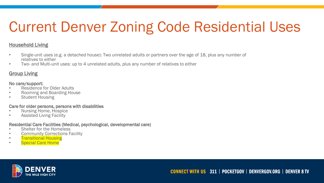## Current Denver Zoning Code Residential Uses

#### Household Living

- Single-unit uses (e.g. a detached house): Two unrelated adults or partners over the age of 18, plus any number of relatives to either
- Two- and Multi-unit uses: up to 4 unrelated adults, plus any number of relatives to either

### **Group Living**

#### No care/support:

- Residence for Older Adults
- Rooming and Boarding House
- Student Housing

#### Care for older persons, persons with disabilities

- Nursing Home, Hospice
- Assisted Living Facility

#### Residential Care Facilities (Medical, psychological, developmental care)

- Shelter for the Homeless
- **Community Corrections Facility**
- **Transitional Housing**
- Special Care Home

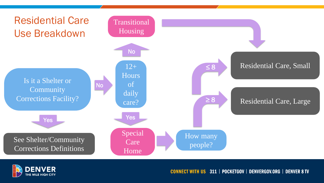



**CONNECT WITH US 311 | POCKETGOV | DENVERGOV.ORG | DENVER 8 TV**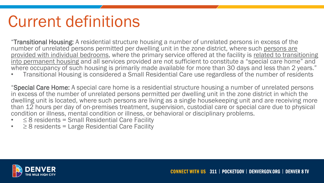# Current definitions

"Transitional Housing: A residential structure housing a number of unrelated persons in excess of the number of unrelated persons permitted per dwelling unit in the zone district, where such persons are provided with individual bedrooms, where the primary service offered at the facility is related to transitioning into permanent housing and all services provided are not sufficient to constitute a "special care home" and where occupancy of such housing is primarily made available for more than 30 days and less than 2 years."

• Transitional Housing is considered a Small Residential Care use regardless of the number of residents

"Special Care Home: A special care home is a residential structure housing a number of unrelated persons in excess of the number of unrelated persons permitted per dwelling unit in the zone district in which the dwelling unit is located, where such persons are living as a single housekeeping unit and are receiving more than 12 hours per day of on-premises treatment, supervision, custodial care or special care due to physical condition or illness, mental condition or illness, or behavioral or disciplinary problems.

- $\leq$  8 residents = Small Residential Care Facility
- $\geq$  8 residents = Large Residential Care Facility

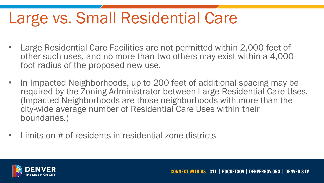# Large vs. Small Residential Care

- Large Residential Care Facilities are not permitted within 2,000 feet of other such uses, and no more than two others may exist within a 4,000 foot radius of the proposed new use.
- In Impacted Neighborhoods, up to 200 feet of additional spacing may be required by the Zoning Administrator between Large Residential Care Uses. (Impacted Neighborhoods are those neighborhoods with more than the city-wide average number of Residential Care Uses within their boundaries.)
- Limits on # of residents in residential zone districts

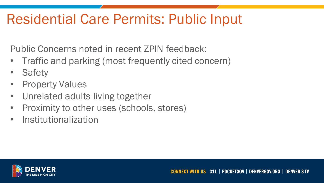## Residential Care Permits: Public Input

Public Concerns noted in recent ZPIN feedback:

- Traffic and parking (most frequently cited concern)
- **Safety**
- Property Values
- Unrelated adults living together
- Proximity to other uses (schools, stores)
- Institutionalization

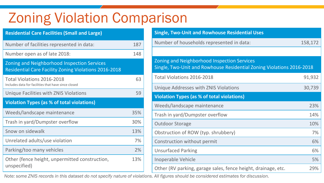## Zoning Violation Comparison

| <b>Residential Care Facilities (Small and Large)</b>                                                               |     |
|--------------------------------------------------------------------------------------------------------------------|-----|
| Number of facilities represented in data:                                                                          | 187 |
| Number open as of late 2018:                                                                                       | 148 |
| <b>Zoning and Neighborhood Inspection Services</b><br><b>Residential Care Facility Zoning Violations 2016-2018</b> |     |
| <b>Total Violations 2016-2018</b><br>Includes data for facilities that have since closed                           | 63  |
| <b>Unique Facilities with ZNIS Violations</b>                                                                      | 59  |
| <b>Violation Types (as % of total violations)</b>                                                                  |     |
| Weeds/landscape maintenance                                                                                        | 35% |
| Trash in yard/Dumpster overflow                                                                                    | 30% |
| Snow on sidewalk                                                                                                   | 13% |
| Unrelated adults/use violation                                                                                     | 7%  |
| Parking/too many vehicles                                                                                          | 2%  |
| Other (fence height, unpermitted construction,<br>unspecified)                                                     | 13% |

| <b>Single, Two-Unit and Rowhouse Residential Uses</b>                                                                |         |  |  |
|----------------------------------------------------------------------------------------------------------------------|---------|--|--|
| Number of households represented in data:                                                                            | 158,172 |  |  |
|                                                                                                                      |         |  |  |
| Zoning and Neighborhood Inspection Services<br>Single, Two-Unit and Rowhouse Residential Zoning Violations 2016-2018 |         |  |  |
| <b>Total Violations 2016-2018</b>                                                                                    | 91,932  |  |  |
| Unique Addresses with ZNIS Violations                                                                                | 30,739  |  |  |
| Violation Types (as % of total violations)                                                                           |         |  |  |
| Weeds/landscape maintenance                                                                                          | 23%     |  |  |
| Trash in yard/Dumpster overflow                                                                                      | 14%     |  |  |
| <b>Outdoor Storage</b>                                                                                               | 10%     |  |  |
| Obstruction of ROW (typ. shrubbery)                                                                                  | 7%      |  |  |
| Construction without permit                                                                                          | 6%      |  |  |
| <b>Unsurfaced Parking</b>                                                                                            | 6%      |  |  |
| Inoperable Vehicle                                                                                                   | 5%      |  |  |
| Other (RV parking, garage sales, fence height, drainage, etc.                                                        | 29%     |  |  |

*Note: some ZNIS records in this dataset do not specify nature of violations. All figures should be considered estimates for discussion.*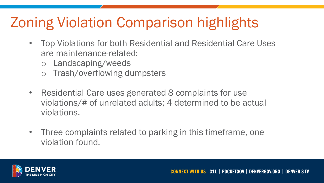## Zoning Violation Comparison highlights

- Top Violations for both Residential and Residential Care Uses are maintenance-related:
	- o Landscaping/weeds
	- o Trash/overflowing dumpsters
- Residential Care uses generated 8 complaints for use violations/# of unrelated adults; 4 determined to be actual violations.
- Three complaints related to parking in this timeframe, one violation found.

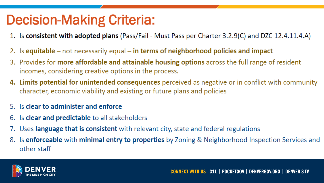### **Decision-Making Criteria:**

- 1. Is consistent with adopted plans (Pass/Fail Must Pass per Charter 3.2.9(C) and DZC 12.4.11.4.A)
- 2. Is equitable not necessarily equal in terms of neighborhood policies and impact
- 3. Provides for **more affordable and attainable housing options** across the full range of resident incomes, considering creative options in the process.
- 4. Limits potential for unintended consequences perceived as negative or in conflict with community character, economic viability and existing or future plans and policies
- 5. Is clear to administer and enforce
- 6. Is **clear and predictable** to all stakeholders
- 7. Uses language that is consistent with relevant city, state and federal regulations
- 8. Is enforceable with minimal entry to properties by Zoning & Neighborhood Inspection Services and other staff